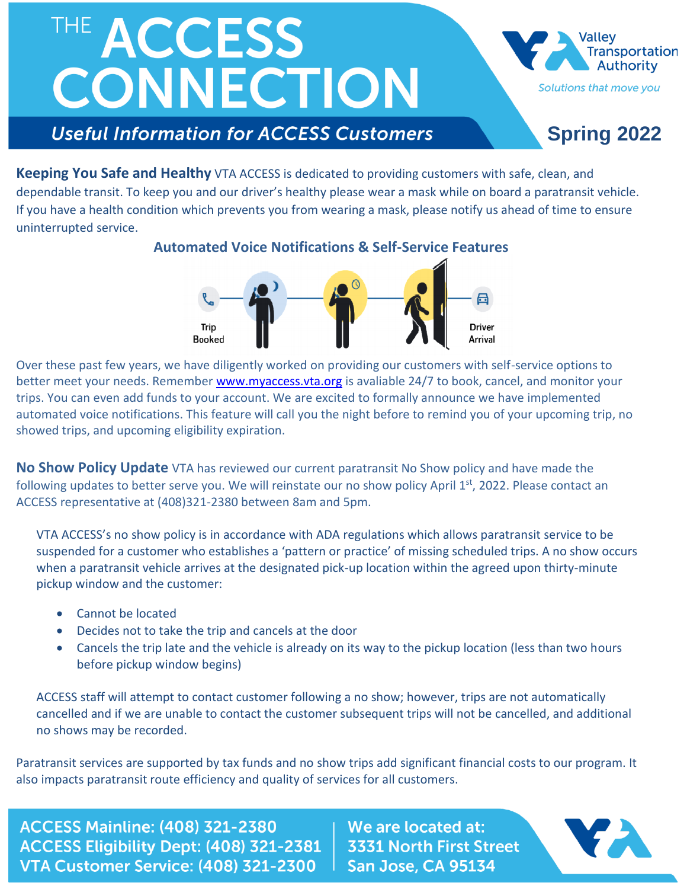## THE ACCESS CONNECTION



**Transportation Authority** Solutions that move you

### **Spring 2022**

**Keeping You Safe and Healthy** VTA ACCESS is dedicated to providing customers with safe, clean, and dependable transit. To keep you and our driver's healthy please wear a mask while on board a paratransit vehicle. If you have a health condition which prevents you from wearing a mask, please notify us ahead of time to ensure uninterrupted service.

**Automated Voice Notifications & Self-Service Features**



Over these past few years, we have diligently worked on providing our customers with self-service options to better meet your needs. Remember [www.myaccess.vta.org](http://www.myaccess.vta.org/) is avaliable 24/7 to book, cancel, and monitor your trips. You can even add funds to your account. We are excited to formally announce we have implemented automated voice notifications. This feature will call you the night before to remind you of your upcoming trip, no showed trips, and upcoming eligibility expiration.

**No Show Policy Update** VTA has reviewed our current paratransit No Show policy and have made the following updates to better serve you. We will reinstate our no show policy April 1<sup>st</sup>, 2022. Please contact an ACCESS representative at (408)321-2380 between 8am and 5pm.

VTA ACCESS's no show policy is in accordance with ADA regulations which allows paratransit service to be suspended for a customer who establishes a 'pattern or practice' of missing scheduled trips. A no show occurs when a paratransit vehicle arrives at the designated pick-up location within the agreed upon thirty-minute pickup window and the customer:

- Cannot be located
- Decides not to take the trip and cancels at the door
- Cancels the trip late and the vehicle is already on its way to the pickup location (less than two hours before pickup window begins)

ACCESS staff will attempt to contact customer following a no show; however, trips are not automatically cancelled and if we are unable to contact the customer subsequent trips will not be cancelled, and additional no shows may be recorded.

Paratransit services are supported by tax funds and no show trips add significant financial costs to our program. It also impacts paratransit route efficiency and quality of services for all customers.

**ACCESS Mainline: (408) 321-2380** ACCESS Eligibility Dept: (408) 321-2381 VTA Customer Service: (408) 321-2300

We are located at: **3331 North First Street** San Jose, CA 95134